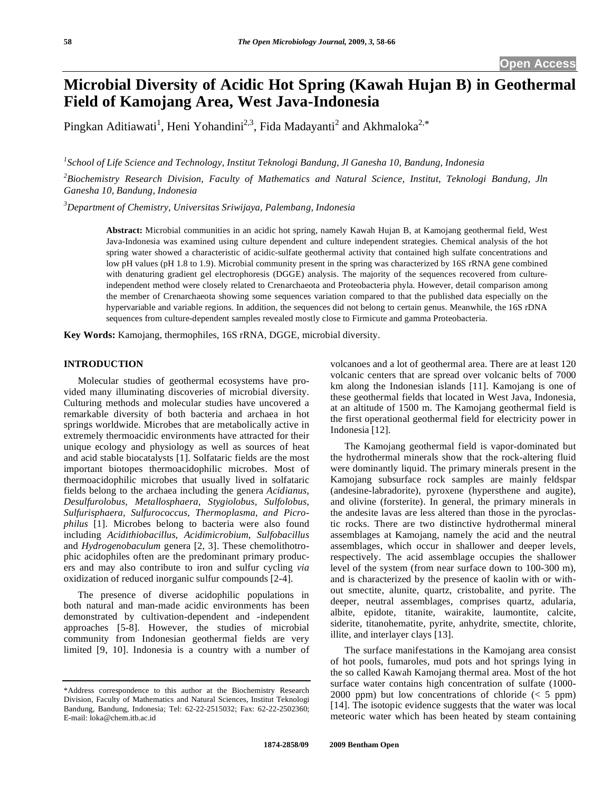# **Microbial Diversity of Acidic Hot Spring (Kawah Hujan B) in Geothermal Field of Kamojang Area, West Java-Indonesia**

Pingkan Aditiawati<sup>1</sup>, Heni Yohandini<sup>2,3</sup>, Fida Madayanti<sup>2</sup> and Akhmaloka<sup>2,\*</sup>

*1 School of Life Science and Technology, Institut Teknologi Bandung, Jl Ganesha 10, Bandung, Indonesia* 

*2 Biochemistry Research Division, Faculty of Mathematics and Natural Science, Institut, Teknologi Bandung, Jln Ganesha 10, Bandung, Indonesia* 

*3 Department of Chemistry, Universitas Sriwijaya, Palembang, Indonesia* 

**Abstract:** Microbial communities in an acidic hot spring, namely Kawah Hujan B, at Kamojang geothermal field, West Java-Indonesia was examined using culture dependent and culture independent strategies. Chemical analysis of the hot spring water showed a characteristic of acidic-sulfate geothermal activity that contained high sulfate concentrations and low pH values (pH 1.8 to 1.9). Microbial community present in the spring was characterized by 16S rRNA gene combined with denaturing gradient gel electrophoresis (DGGE) analysis. The majority of the sequences recovered from cultureindependent method were closely related to Crenarchaeota and Proteobacteria phyla. However, detail comparison among the member of Crenarchaeota showing some sequences variation compared to that the published data especially on the hypervariable and variable regions. In addition, the sequences did not belong to certain genus. Meanwhile, the 16S rDNA sequences from culture-dependent samples revealed mostly close to Firmicute and gamma Proteobacteria.

**Key Words:** Kamojang, thermophiles, 16S rRNA, DGGE, microbial diversity.

#### **INTRODUCTION**

 Molecular studies of geothermal ecosystems have provided many illuminating discoveries of microbial diversity. Culturing methods and molecular studies have uncovered a remarkable diversity of both bacteria and archaea in hot springs worldwide. Microbes that are metabolically active in extremely thermoacidic environments have attracted for their unique ecology and physiology as well as sources of heat and acid stable biocatalysts [1]. Solfataric fields are the most important biotopes thermoacidophilic microbes. Most of thermoacidophilic microbes that usually lived in solfataric fields belong to the archaea including the genera *Acidianus, Desulfurolobus, Metallosphaera, Stygiolobus, Sulfolobus, Sulfurisphaera, Sulfurococcus, Thermoplasma, and Picrophilus* [1]. Microbes belong to bacteria were also found including *Acidithiobacillus*, *Acidimicrobium*, *Sulfobacillus* and *Hydrogenobaculum* genera [2, 3]. These chemolithotrophic acidophiles often are the predominant primary producers and may also contribute to iron and sulfur cycling *via*  oxidization of reduced inorganic sulfur compounds [2-4].

 The presence of diverse acidophilic populations in both natural and man-made acidic environments has been demonstrated by cultivation-dependent and -independent approaches [5-8]. However, the studies of microbial community from Indonesian geothermal fields are very limited [9, 10]. Indonesia is a country with a number of volcanoes and a lot of geothermal area. There are at least 120 volcanic centers that are spread over volcanic belts of 7000 km along the Indonesian islands [11]. Kamojang is one of these geothermal fields that located in West Java, Indonesia, at an altitude of 1500 m. The Kamojang geothermal field is the first operational geothermal field for electricity power in Indonesia [12].

 The Kamojang geothermal field is vapor-dominated but the hydrothermal minerals show that the rock-altering fluid were dominantly liquid. The primary minerals present in the Kamojang subsurface rock samples are mainly feldspar (andesine-labradorite), pyroxene (hypersthene and augite), and olivine (forsterite). In general, the primary minerals in the andesite lavas are less altered than those in the pyroclastic rocks. There are two distinctive hydrothermal mineral assemblages at Kamojang, namely the acid and the neutral assemblages, which occur in shallower and deeper levels, respectively. The acid assemblage occupies the shallower level of the system (from near surface down to 100-300 m), and is characterized by the presence of kaolin with or without smectite, alunite, quartz, cristobalite, and pyrite. The deeper, neutral assemblages, comprises quartz, adularia, albite, epidote, titanite, wairakite, laumontite, calcite, siderite, titanohematite, pyrite, anhydrite, smectite, chlorite, illite, and interlayer clays [13].

 The surface manifestations in the Kamojang area consist of hot pools, fumaroles, mud pots and hot springs lying in the so called Kawah Kamojang thermal area. Most of the hot surface water contains high concentration of sulfate (1000- 2000 ppm) but low concentrations of chloride  $(< 5$  ppm) [14]. The isotopic evidence suggests that the water was local meteoric water which has been heated by steam containing

<sup>\*</sup>Address correspondence to this author at the Biochemistry Research Division, Faculty of Mathematics and Natural Sciences, Institut Teknologi Bandung, Bandung, Indonesia; Tel: 62-22-2515032; Fax: 62-22-2502360; E-mail: loka@chem.itb.ac.id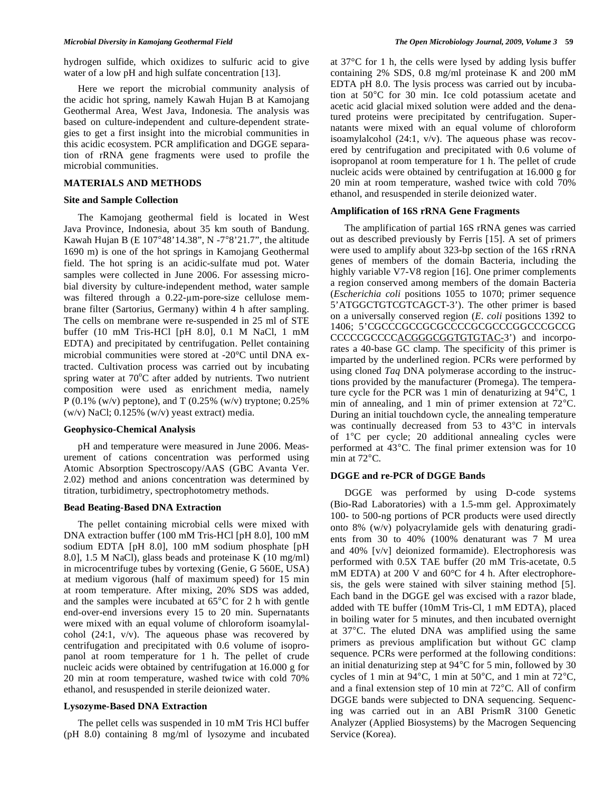hydrogen sulfide, which oxidizes to sulfuric acid to give water of a low pH and high sulfate concentration [13].

 Here we report the microbial community analysis of the acidic hot spring, namely Kawah Hujan B at Kamojang Geothermal Area, West Java, Indonesia. The analysis was based on culture-independent and culture-dependent strategies to get a first insight into the microbial communities in this acidic ecosystem. PCR amplification and DGGE separation of rRNA gene fragments were used to profile the microbial communities.

#### **MATERIALS AND METHODS**

#### **Site and Sample Collection**

 The Kamojang geothermal field is located in West Java Province, Indonesia, about 35 km south of Bandung. Kawah Hujan B (E 107°48'14.38", N -7°8'21.7", the altitude 1690 m) is one of the hot springs in Kamojang Geothermal field. The hot spring is an acidic-sulfate mud pot. Water samples were collected in June 2006. For assessing microbial diversity by culture-independent method, water sample was filtered through a  $0.22$ - $\mu$ m-pore-size cellulose membrane filter (Sartorius, Germany) within 4 h after sampling. The cells on membrane were re-suspended in 25 ml of STE buffer (10 mM Tris-HCl [pH 8.0], 0.1 M NaCl, 1 mM EDTA) and precipitated by centrifugation. Pellet containing microbial communities were stored at -20°C until DNA extracted. Cultivation process was carried out by incubating spring water at  $70^{\circ}$ C after added by nutrients. Two nutrient composition were used as enrichment media, namely P (0.1% (w/v) peptone), and T (0.25% (w/v) tryptone; 0.25% (w/v) NaCl; 0.125% (w/v) yeast extract) media.

### **Geophysico-Chemical Analysis**

 pH and temperature were measured in June 2006. Measurement of cations concentration was performed using Atomic Absorption Spectroscopy/AAS (GBC Avanta Ver. 2.02) method and anions concentration was determined by titration, turbidimetry, spectrophotometry methods.

#### **Bead Beating-Based DNA Extraction**

 The pellet containing microbial cells were mixed with DNA extraction buffer (100 mM Tris-HCl [pH 8.0], 100 mM sodium EDTA [pH 8.0], 100 mM sodium phosphate [pH 8.0], 1.5 M NaCl), glass beads and proteinase K (10 mg/ml) in microcentrifuge tubes by vortexing (Genie, G 560E, USA) at medium vigorous (half of maximum speed) for 15 min at room temperature. After mixing, 20% SDS was added, and the samples were incubated at 65°C for 2 h with gentle end-over-end inversions every 15 to 20 min. Supernatants were mixed with an equal volume of chloroform isoamylalcohol (24:1, v/v). The aqueous phase was recovered by centrifugation and precipitated with 0.6 volume of isopropanol at room temperature for 1 h. The pellet of crude nucleic acids were obtained by centrifugation at 16.000 g for 20 min at room temperature, washed twice with cold 70% ethanol, and resuspended in sterile deionized water.

## **Lysozyme-Based DNA Extraction**

 The pellet cells was suspended in 10 mM Tris HCl buffer (pH 8.0) containing 8 mg/ml of lysozyme and incubated at 37°C for 1 h, the cells were lysed by adding lysis buffer containing 2% SDS, 0.8 mg/ml proteinase K and 200 mM EDTA pH 8.0. The lysis process was carried out by incubation at 50°C for 30 min. Ice cold potassium acetate and acetic acid glacial mixed solution were added and the denatured proteins were precipitated by centrifugation. Supernatants were mixed with an equal volume of chloroform isoamylalcohol (24:1, v/v). The aqueous phase was recovered by centrifugation and precipitated with 0.6 volume of isopropanol at room temperature for 1 h. The pellet of crude nucleic acids were obtained by centrifugation at 16.000 g for 20 min at room temperature, washed twice with cold 70% ethanol, and resuspended in sterile deionized water.

# **Amplification of 16S rRNA Gene Fragments**

 The amplification of partial 16S rRNA genes was carried out as described previously by Ferris [15]. A set of primers were used to amplify about 323-bp section of the 16S rRNA genes of members of the domain Bacteria, including the highly variable V7-V8 region [16]. One primer complements a region conserved among members of the domain Bacteria (*Escherichia coli* positions 1055 to 1070; primer sequence 5'ATGGCTGTCGTCAGCT-3'). The other primer is based on a universally conserved region (*E. coli* positions 1392 to 1406; 5'CGCCCGCCGCGCCCCGCGCCCGGCCCGCCGCCGCCGGCCCGCCGGCCCGCCGGCCCGCCGGCCCGCCGCCGCCG CCCCCGCCCCACGGGCGGTGTGTAC-3') and incorporates a 40-base GC clamp. The specificity of this primer is imparted by the underlined region. PCRs were performed by using cloned *Taq* DNA polymerase according to the instructions provided by the manufacturer (Promega). The temperature cycle for the PCR was 1 min of denaturizing at 94°C, 1 min of annealing, and 1 min of primer extension at 72°C. During an initial touchdown cycle, the annealing temperature was continually decreased from 53 to 43°C in intervals of 1°C per cycle; 20 additional annealing cycles were performed at 43°C. The final primer extension was for 10 min at 72°C.

#### **DGGE and re-PCR of DGGE Bands**

 DGGE was performed by using D-code systems (Bio-Rad Laboratories) with a 1.5-mm gel. Approximately 100- to 500-ng portions of PCR products were used directly onto 8% (w/v) polyacrylamide gels with denaturing gradients from 30 to 40% (100% denaturant was 7 M urea and 40% [v/v] deionized formamide). Electrophoresis was performed with 0.5X TAE buffer (20 mM Tris-acetate, 0.5 mM EDTA) at 200 V and 60°C for 4 h. After electrophoresis, the gels were stained with silver staining method [5]. Each band in the DGGE gel was excised with a razor blade, added with TE buffer (10mM Tris-Cl, 1 mM EDTA), placed in boiling water for 5 minutes, and then incubated overnight at 37°C. The eluted DNA was amplified using the same primers as previous amplification but without GC clamp sequence. PCRs were performed at the following conditions: an initial denaturizing step at 94°C for 5 min, followed by 30 cycles of 1 min at 94°C, 1 min at 50°C, and 1 min at 72°C, and a final extension step of 10 min at 72°C. All of confirm DGGE bands were subjected to DNA sequencing. Sequencing was carried out in an ABI PrismR 3100 Genetic Analyzer (Applied Biosystems) by the Macrogen Sequencing Service (Korea).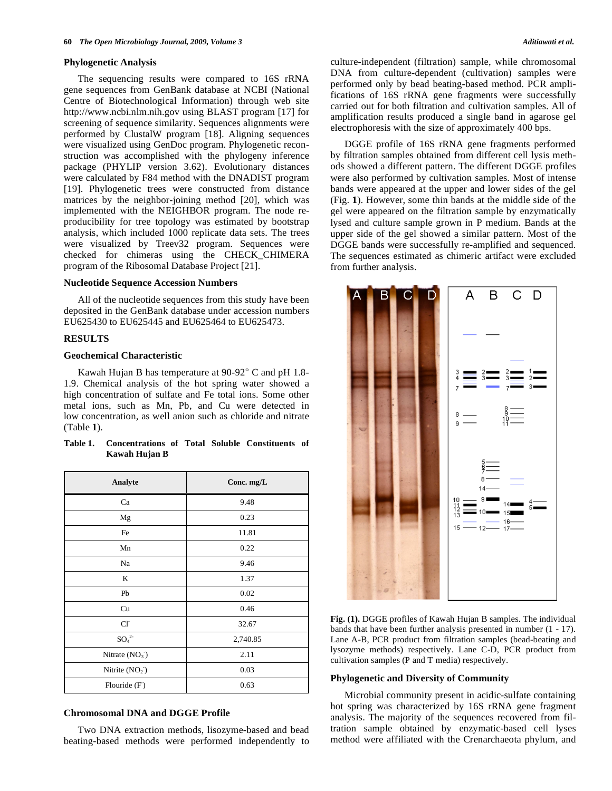#### **Phylogenetic Analysis**

 The sequencing results were compared to 16S rRNA gene sequences from GenBank database at NCBI (National Centre of Biotechnological Information) through web site http://www.ncbi.nlm.nih.gov using BLAST program [17] for screening of sequence similarity. Sequences alignments were performed by ClustalW program [18]. Aligning sequences were visualized using GenDoc program. Phylogenetic reconstruction was accomplished with the phylogeny inference package (PHYLIP version 3.62). Evolutionary distances were calculated by F84 method with the DNADIST program [19]. Phylogenetic trees were constructed from distance matrices by the neighbor-joining method [20], which was implemented with the NEIGHBOR program. The node reproducibility for tree topology was estimated by bootstrap analysis, which included 1000 replicate data sets. The trees were visualized by Treev32 program. Sequences were checked for chimeras using the CHECK\_CHIMERA program of the Ribosomal Database Project [21].

### **Nucleotide Sequence Accession Numbers**

 All of the nucleotide sequences from this study have been deposited in the GenBank database under accession numbers EU625430 to EU625445 and EU625464 to EU625473.

## **RESULTS**

# **Geochemical Characteristic**

 Kawah Hujan B has temperature at 90-92° C and pH 1.8- 1.9. Chemical analysis of the hot spring water showed a high concentration of sulfate and Fe total ions. Some other metal ions, such as Mn, Pb, and Cu were detected in low concentration, as well anion such as chloride and nitrate (Table **1**).

| Table 1. | Concentrations of Total Soluble Constituents of |  |  |  |
|----------|-------------------------------------------------|--|--|--|
|          | Kawah Hujan B                                   |  |  |  |

| Analyte              | Conc. mg/L |
|----------------------|------------|
| Ca                   | 9.48       |
| Mg                   | 0.23       |
| Fe                   | 11.81      |
| Mn                   | 0.22       |
| Na                   | 9.46       |
| K                    | 1.37       |
| Pb                   | 0.02       |
| Cu                   | 0.46       |
| CI                   | 32.67      |
| $\mathrm{SO_4}^{2-}$ | 2,740.85   |
| Nitrate $(NO3)$      | 2.11       |
| Nitrite $(NO2)$      | 0.03       |
| Flouride $(F)$       | 0.63       |

### **Chromosomal DNA and DGGE Profile**

 Two DNA extraction methods, lisozyme-based and bead beating-based methods were performed independently to culture-independent (filtration) sample, while chromosomal DNA from culture-dependent (cultivation) samples were performed only by bead beating-based method. PCR amplifications of 16S rRNA gene fragments were successfully carried out for both filtration and cultivation samples. All of amplification results produced a single band in agarose gel electrophoresis with the size of approximately 400 bps.

 DGGE profile of 16S rRNA gene fragments performed by filtration samples obtained from different cell lysis methods showed a different pattern. The different DGGE profiles were also performed by cultivation samples. Most of intense bands were appeared at the upper and lower sides of the gel (Fig. **1**). However, some thin bands at the middle side of the gel were appeared on the filtration sample by enzymatically lysed and culture sample grown in P medium. Bands at the upper side of the gel showed a similar pattern. Most of the DGGE bands were successfully re-amplified and sequenced. The sequences estimated as chimeric artifact were excluded from further analysis.



**Fig. (1).** DGGE profiles of Kawah Hujan B samples. The individual bands that have been further analysis presented in number (1 - 17). Lane A-B, PCR product from filtration samples (bead-beating and lysozyme methods) respectively. Lane C-D, PCR product from cultivation samples (P and T media) respectively.

### **Phylogenetic and Diversity of Community**

 Microbial community present in acidic-sulfate containing hot spring was characterized by 16S rRNA gene fragment analysis. The majority of the sequences recovered from filtration sample obtained by enzymatic-based cell lyses method were affiliated with the Crenarchaeota phylum, and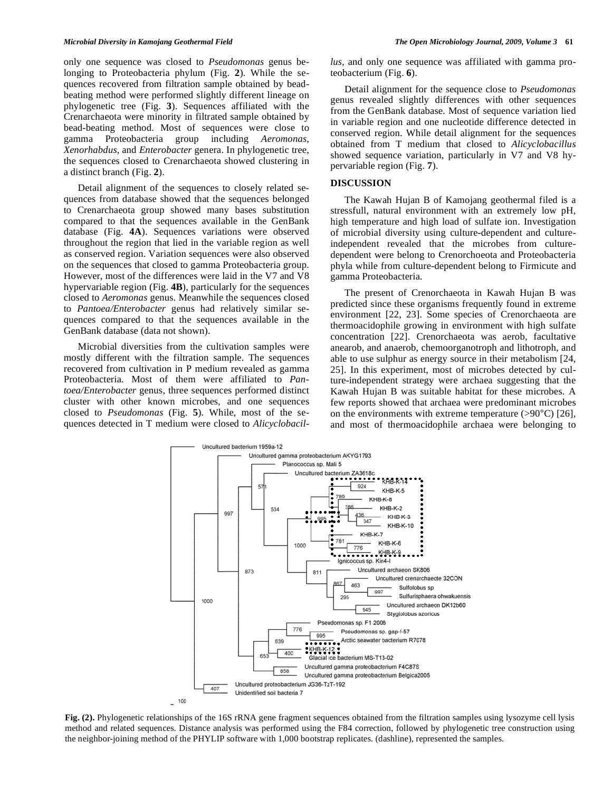only one sequence was closed to *Pseudomonas* genus belonging to Proteobacteria phylum (Fig. **2**). While the sequences recovered from filtration sample obtained by beadbeating method were performed slightly different lineage on phylogenetic tree (Fig. **3**). Sequences affiliated with the Crenarchaeota were minority in filtrated sample obtained by bead-beating method. Most of sequences were close to gamma Proteobacteria group including *Aeromonas, Xenorhabdus,* and *Enterobacter* genera. In phylogenetic tree, the sequences closed to Crenarchaeota showed clustering in a distinct branch (Fig. **2**).

 Detail alignment of the sequences to closely related sequences from database showed that the sequences belonged to Crenarchaeota group showed many bases substitution compared to that the sequences available in the GenBank database (Fig. **4A**). Sequences variations were observed throughout the region that lied in the variable region as well as conserved region. Variation sequences were also observed on the sequences that closed to gamma Proteobacteria group. However, most of the differences were laid in the V7 and V8 hypervariable region (Fig. **4B**), particularly for the sequences closed to *Aeromonas* genus. Meanwhile the sequences closed to *Pantoea/Enterobacter* genus had relatively similar sequences compared to that the sequences available in the GenBank database (data not shown).

 Microbial diversities from the cultivation samples were mostly different with the filtration sample. The sequences recovered from cultivation in P medium revealed as gamma Proteobacteria. Most of them were affiliated to *Pantoea/Enterobacter* genus, three sequences performed distinct cluster with other known microbes, and one sequences closed to *Pseudomonas* (Fig. **5**)*.* While, most of the sequences detected in T medium were closed to *Alicyclobacil-* *lus,* and only one sequence was affiliated with gamma proteobacterium (Fig. **6**).

 Detail alignment for the sequence close to *Pseudomonas* genus revealed slightly differences with other sequences from the GenBank database. Most of sequence variation lied in variable region and one nucleotide difference detected in conserved region. While detail alignment for the sequences obtained from T medium that closed to *Alicyclobacillus* showed sequence variation, particularly in V7 and V8 hypervariable region (Fig. **7**).

# **DISCUSSION**

 The Kawah Hujan B of Kamojang geothermal filed is a stressfull, natural environment with an extremely low pH, high temperature and high load of sulfate ion. Investigation of microbial diversity using culture-dependent and cultureindependent revealed that the microbes from culturedependent were belong to Crenorchoeota and Proteobacteria phyla while from culture-dependent belong to Firmicute and gamma Proteobacteria.

 The present of Crenorchaeota in Kawah Hujan B was predicted since these organisms frequently found in extreme environment [22, 23]. Some species of Crenorchaeota are thermoacidophile growing in environment with high sulfate concentration [22]. Crenorchaeota was aerob, facultative anearob, and anaerob, chemoorganotroph and lithotroph, and able to use sulphur as energy source in their metabolism [24, 25]. In this experiment, most of microbes detected by culture-independent strategy were archaea suggesting that the Kawah Hujan B was suitable habitat for these microbes. A few reports showed that archaea were predominant microbes on the environments with extreme temperature  $(>90^{\circ}C)$  [26], and most of thermoacidophile archaea were belonging to



Fig. (2). Phylogenetic relationships of the 16S rRNA gene fragment sequences obtained from the filtration samples using lysozyme cell lysis method and related sequences. Distance analysis was performed using the F84 correction, followed by phylogenetic tree construction using the neighbor-joining method of the PHYLIP software with 1,000 bootstrap replicates. (dashline), represented the samples.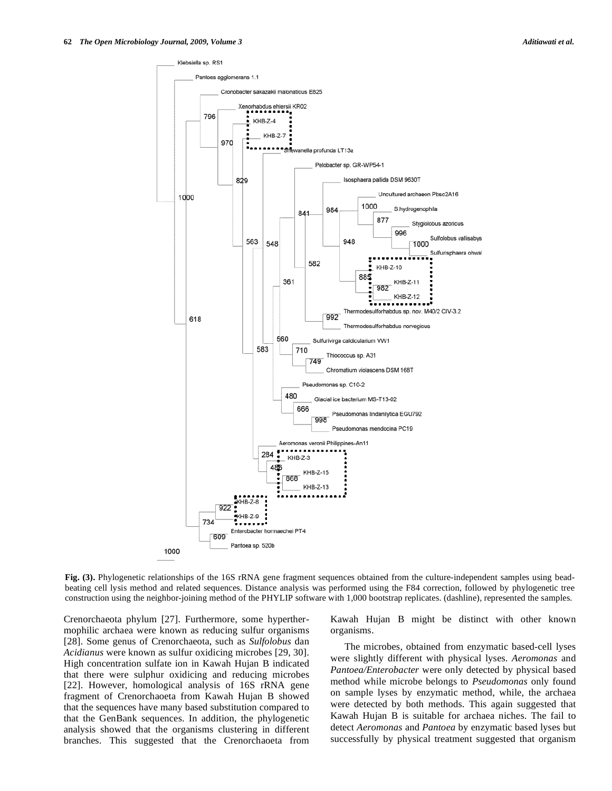

**Fig. (3).** Phylogenetic relationships of the 16S rRNA gene fragment sequences obtained from the culture-independent samples using beadbeating cell lysis method and related sequences. Distance analysis was performed using the F84 correction, followed by phylogenetic tree construction using the neighbor-joining method of the PHYLIP software with 1,000 bootstrap replicates. (dashline), represented the samples.

Crenorchaeota phylum [27]. Furthermore, some hyperthermophilic archaea were known as reducing sulfur organisms [28]. Some genus of Crenorchaeota, such as *Sulfolobus* dan *Acidianus* were known as sulfur oxidicing microbes [29, 30]. High concentration sulfate ion in Kawah Hujan B indicated that there were sulphur oxidicing and reducing microbes [22]. However, homological analysis of 16S rRNA gene fragment of Crenorchaoeta from Kawah Hujan B showed that the sequences have many based substitution compared to that the GenBank sequences. In addition, the phylogenetic analysis showed that the organisms clustering in different branches. This suggested that the Crenorchaoeta from Kawah Hujan B might be distinct with other known organisms.

 The microbes, obtained from enzymatic based-cell lyses were slightly different with physical lyses. *Aeromonas* and *Pantoea/Enterobacter* were only detected by physical based method while microbe belongs to *Pseudomonas* only found on sample lyses by enzymatic method, while, the archaea were detected by both methods. This again suggested that Kawah Hujan B is suitable for archaea niches. The fail to detect *Aeromonas* and *Pantoea* by enzymatic based lyses but successfully by physical treatment suggested that organism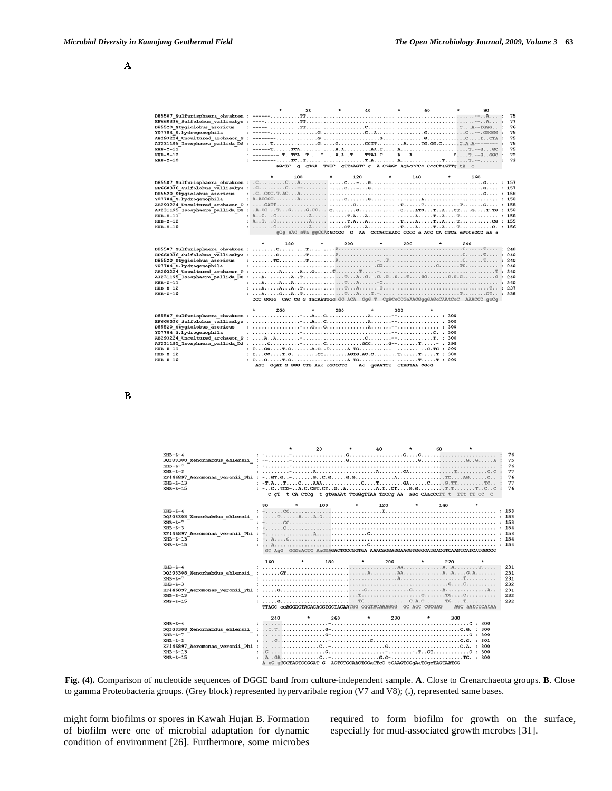#### $\mathbf A$

| D85520 Stygiolobus azoricus<br>Y07784 S.hydrogenophila<br>AB293224 Uncultured archaeon P : --------<br>$KHB-Z-11$<br>$KHB-Z-12$<br>$KHB-Z-10$ | aGcTC                                                                                                                                                                                                                                                                                                                                                                                                                                                       | 20<br>$\alpha$                 |         | 40<br>gTGA TGTC gTTaAGTC g A CGAGC AgAcCCCc CocCtaGTTg tA c                                                                                                                                                                                                                                                                                                                                                        | $\star$<br>60 |   | 80  | 75<br>77<br>76<br>75<br>75<br>75<br>75<br>72<br>73 |
|-----------------------------------------------------------------------------------------------------------------------------------------------|-------------------------------------------------------------------------------------------------------------------------------------------------------------------------------------------------------------------------------------------------------------------------------------------------------------------------------------------------------------------------------------------------------------------------------------------------------------|--------------------------------|---------|--------------------------------------------------------------------------------------------------------------------------------------------------------------------------------------------------------------------------------------------------------------------------------------------------------------------------------------------------------------------------------------------------------------------|---------------|---|-----|----------------------------------------------------|
|                                                                                                                                               | ٠                                                                                                                                                                                                                                                                                                                                                                                                                                                           | 100                            | $\star$ | 120<br>$\star$                                                                                                                                                                                                                                                                                                                                                                                                     | 140           | ۰ | 160 |                                                    |
|                                                                                                                                               |                                                                                                                                                                                                                                                                                                                                                                                                                                                             |                                |         |                                                                                                                                                                                                                                                                                                                                                                                                                    |               |   |     |                                                    |
|                                                                                                                                               |                                                                                                                                                                                                                                                                                                                                                                                                                                                             |                                |         |                                                                                                                                                                                                                                                                                                                                                                                                                    |               |   |     |                                                    |
| D85520 Stygiolobus azoricus                                                                                                                   |                                                                                                                                                                                                                                                                                                                                                                                                                                                             |                                |         |                                                                                                                                                                                                                                                                                                                                                                                                                    |               |   |     |                                                    |
| Y07784 S.hydrogenophila                                                                                                                       |                                                                                                                                                                                                                                                                                                                                                                                                                                                             |                                |         |                                                                                                                                                                                                                                                                                                                                                                                                                    |               |   |     | 158                                                |
|                                                                                                                                               |                                                                                                                                                                                                                                                                                                                                                                                                                                                             |                                |         |                                                                                                                                                                                                                                                                                                                                                                                                                    |               |   |     | : 158                                              |
|                                                                                                                                               |                                                                                                                                                                                                                                                                                                                                                                                                                                                             |                                |         |                                                                                                                                                                                                                                                                                                                                                                                                                    |               |   |     | : 158                                              |
| $KHB-Z-11$                                                                                                                                    |                                                                                                                                                                                                                                                                                                                                                                                                                                                             |                                |         |                                                                                                                                                                                                                                                                                                                                                                                                                    |               |   |     | : 158                                              |
| $KHB-Z-12$                                                                                                                                    |                                                                                                                                                                                                                                                                                                                                                                                                                                                             |                                |         | : $A_1, T_2, \ldots, C_2, \ldots, D_n, \ldots, D_n, \ldots, T_n, \ldots, D_n, \ldots, T_n, \ldots, T_n, \ldots, T_n, \ldots, T_n, \ldots, T_n, \ldots, T_n, \ldots, T_n, \ldots, T_n, \ldots, T_n, \ldots, T_n, \ldots, T_n, \ldots, T_n, \ldots, T_n, \ldots, T_n, \ldots, T_n, \ldots, T_n, \ldots, T_n, \ldots, T_n, \ldots, T_n, \ldots, T_n, \ldots, T_n, \ldots, T_n, \ldots, T_n, \ldots, T_n, \ldots, T_n$ |               |   |     | : 155                                              |
| $KHB-Z-10$                                                                                                                                    |                                                                                                                                                                                                                                                                                                                                                                                                                                                             |                                |         |                                                                                                                                                                                                                                                                                                                                                                                                                    |               |   |     |                                                    |
|                                                                                                                                               |                                                                                                                                                                                                                                                                                                                                                                                                                                                             | 180                            | 200     | gGg cAC cTa ggGGACtGCCG G AA CGGAGGAAGG GGGG c ACG CA GTCa cATGcCCC aA c                                                                                                                                                                                                                                                                                                                                           | 220           | ٠ | 240 |                                                    |
|                                                                                                                                               |                                                                                                                                                                                                                                                                                                                                                                                                                                                             |                                |         |                                                                                                                                                                                                                                                                                                                                                                                                                    |               |   |     |                                                    |
|                                                                                                                                               |                                                                                                                                                                                                                                                                                                                                                                                                                                                             |                                |         |                                                                                                                                                                                                                                                                                                                                                                                                                    |               |   |     |                                                    |
|                                                                                                                                               |                                                                                                                                                                                                                                                                                                                                                                                                                                                             |                                |         |                                                                                                                                                                                                                                                                                                                                                                                                                    |               |   |     | 240                                                |
| D85520 Stygiolobus azoricus                                                                                                                   | $: \ldots \cdot \mathbf{r} \mathbf{c} \ldots \mathbf{r} \mathbf{c} \ldots \mathbf{r} \ldots \mathbf{r} \ldots \mathbf{c} \ldots \mathbf{c} \ldots \mathbf{c} \ldots \mathbf{c} \ldots \mathbf{c} \ldots \mathbf{c} \ldots \mathbf{c} \ldots \mathbf{c} \ldots \mathbf{c} \ldots \mathbf{c} \ldots \mathbf{c} \ldots \mathbf{c} \ldots \mathbf{c} \ldots \mathbf{c} \ldots \mathbf{c} \ldots \mathbf{c} \ldots \mathbf{c} \ldots \mathbf{c} \ldots \mathbf{$ |                                |         |                                                                                                                                                                                                                                                                                                                                                                                                                    |               |   |     | 240                                                |
| Y07784 S.hydrogenophila                                                                                                                       |                                                                                                                                                                                                                                                                                                                                                                                                                                                             |                                |         |                                                                                                                                                                                                                                                                                                                                                                                                                    |               |   |     | 240                                                |
|                                                                                                                                               |                                                                                                                                                                                                                                                                                                                                                                                                                                                             |                                |         |                                                                                                                                                                                                                                                                                                                                                                                                                    |               |   |     | 240                                                |
|                                                                                                                                               |                                                                                                                                                                                                                                                                                                                                                                                                                                                             |                                |         |                                                                                                                                                                                                                                                                                                                                                                                                                    |               |   |     | : 240                                              |
| $KHB-Z-11$                                                                                                                                    |                                                                                                                                                                                                                                                                                                                                                                                                                                                             |                                |         |                                                                                                                                                                                                                                                                                                                                                                                                                    |               |   |     |                                                    |
| $KBB-Z-12$                                                                                                                                    |                                                                                                                                                                                                                                                                                                                                                                                                                                                             |                                |         |                                                                                                                                                                                                                                                                                                                                                                                                                    |               |   |     |                                                    |
| $KHB-Z-10$                                                                                                                                    |                                                                                                                                                                                                                                                                                                                                                                                                                                                             |                                |         |                                                                                                                                                                                                                                                                                                                                                                                                                    |               |   |     |                                                    |
|                                                                                                                                               |                                                                                                                                                                                                                                                                                                                                                                                                                                                             |                                |         | CCC GGGc CAC CG G TaCAATGGc GG ACA GGG T CGACcCCGaAAGGggGAGcCAAtCcC AAACCC gcCg                                                                                                                                                                                                                                                                                                                                    |               |   |     |                                                    |
|                                                                                                                                               | 260                                                                                                                                                                                                                                                                                                                                                                                                                                                         |                                | 280     |                                                                                                                                                                                                                                                                                                                                                                                                                    | 300           |   |     |                                                    |
| D85507 Sulfurisphaera ohwakuen :                                                                                                              |                                                                                                                                                                                                                                                                                                                                                                                                                                                             |                                |         |                                                                                                                                                                                                                                                                                                                                                                                                                    |               |   |     |                                                    |
| EF660336 Sulfolobus vallisabys :                                                                                                              |                                                                                                                                                                                                                                                                                                                                                                                                                                                             |                                |         |                                                                                                                                                                                                                                                                                                                                                                                                                    |               |   |     |                                                    |
| D85520 Stygiolobus azoricus                                                                                                                   |                                                                                                                                                                                                                                                                                                                                                                                                                                                             |                                |         |                                                                                                                                                                                                                                                                                                                                                                                                                    |               |   |     |                                                    |
| Y07784 S.hydrogenophila                                                                                                                       | ÷.                                                                                                                                                                                                                                                                                                                                                                                                                                                          |                                |         |                                                                                                                                                                                                                                                                                                                                                                                                                    |               |   |     |                                                    |
| AB293224 Uncultured archaeon P                                                                                                                | $\ddot{\phantom{a}}$                                                                                                                                                                                                                                                                                                                                                                                                                                        |                                |         |                                                                                                                                                                                                                                                                                                                                                                                                                    |               |   |     |                                                    |
| AJ231195 Isosphaera pallida DS :                                                                                                              |                                                                                                                                                                                                                                                                                                                                                                                                                                                             |                                |         |                                                                                                                                                                                                                                                                                                                                                                                                                    |               |   |     |                                                    |
| $KHB-Z-11$                                                                                                                                    |                                                                                                                                                                                                                                                                                                                                                                                                                                                             |                                |         |                                                                                                                                                                                                                                                                                                                                                                                                                    |               |   |     |                                                    |
| $KHB-Z-12$                                                                                                                                    |                                                                                                                                                                                                                                                                                                                                                                                                                                                             |                                |         | : $TCCT.GT.GCTC$ . AGTG. AC. C. $TTT$ : 300                                                                                                                                                                                                                                                                                                                                                                        |               |   |     |                                                    |
| $KHB-Z-10$                                                                                                                                    |                                                                                                                                                                                                                                                                                                                                                                                                                                                             | AGT GGAT G GGG CTG Aac cGCCCTC |         | Ac gGAATCc cTAGTAA CGcG                                                                                                                                                                                                                                                                                                                                                                                            |               |   |     |                                                    |

 $\bf{B}$ 



**Fig. (4).** Comparison of nucleotide sequences of DGGE band from culture-independent sample. **A**. Close to Crenarchaeota groups. **B**. Close to gamma Proteobacteria groups. (Grey block) represented hypervaribale region (V7 and V8); (**.**), represented same bases.

might form biofilms or spores in Kawah Hujan B. Formation of biofilm were one of microbial adaptation for dynamic condition of environment [26]. Furthermore, some microbes required to form biofilm for growth on the surface, especially for mud-associated growth mcrobes [31].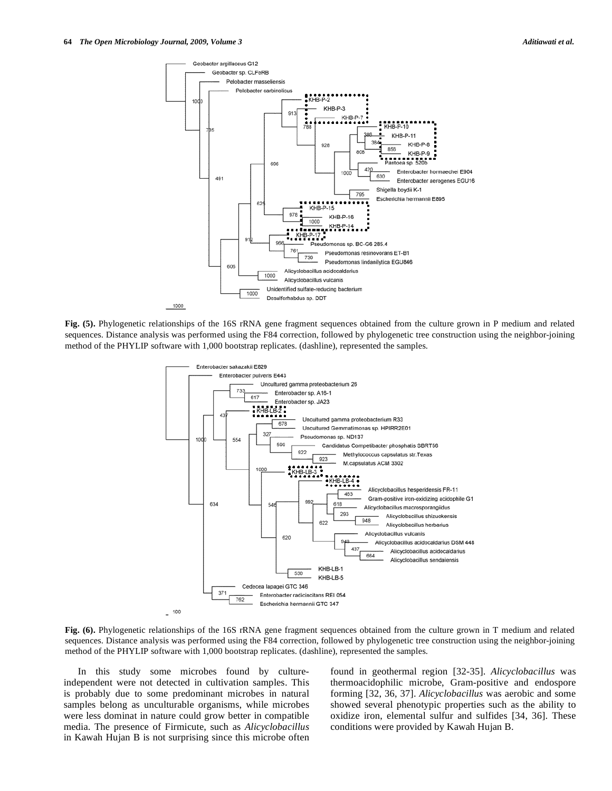

**Fig. (5).** Phylogenetic relationships of the 16S rRNA gene fragment sequences obtained from the culture grown in P medium and related sequences. Distance analysis was performed using the F84 correction, followed by phylogenetic tree construction using the neighbor-joining method of the PHYLIP software with 1,000 bootstrap replicates. (dashline), represented the samples.



**Fig. (6).** Phylogenetic relationships of the 16S rRNA gene fragment sequences obtained from the culture grown in T medium and related sequences. Distance analysis was performed using the F84 correction, followed by phylogenetic tree construction using the neighbor-joining method of the PHYLIP software with 1,000 bootstrap replicates. (dashline), represented the samples.

 In this study some microbes found by cultureindependent were not detected in cultivation samples. This is probably due to some predominant microbes in natural samples belong as unculturable organisms, while microbes were less dominat in nature could grow better in compatible media. The presence of Firmicute, such as *Alicyclobacillus* in Kawah Hujan B is not surprising since this microbe often found in geothermal region [32-35]. *Alicyclobacillus* was thermoacidophilic microbe, Gram-positive and endospore forming [32, 36, 37]. *Alicyclobacillus* was aerobic and some showed several phenotypic properties such as the ability to oxidize iron, elemental sulfur and sulfides [34, 36]. These conditions were provided by Kawah Hujan B.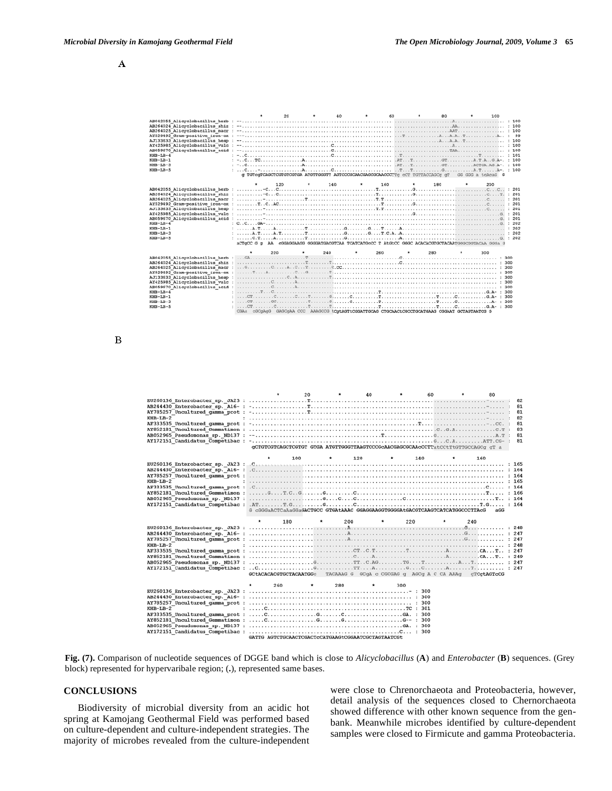

 $\bf{B}$ 



**Fig. (7).** Comparison of nucleotide sequences of DGGE band which is close to *Alicyclobacillus* (**A**) and *Enterobacter* (**B**) sequences. (Grey block) represented for hypervaribale region; (**.**), represented same bases.

# **CONCLUSIONS**

 Biodiversity of microbial diversity from an acidic hot spring at Kamojang Geothermal Field was performed based on culture-dependent and culture-independent strategies. The majority of microbes revealed from the culture-independent were close to Chrenorchaeota and Proteobacteria, however, detail analysis of the sequences closed to Chernorchaeota showed difference with other known sequence from the genbank. Meanwhile microbes identified by culture-dependent samples were closed to Firmicute and gamma Proteobacteria.